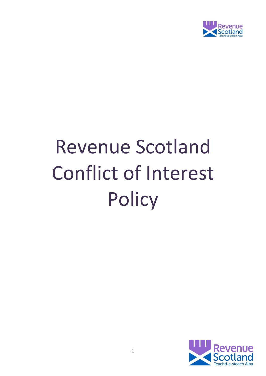

# Revenue Scotland Conflict of Interest **Policy**

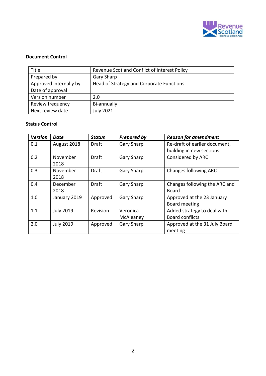

#### **Document Control**

| Title                  | Revenue Scotland Conflict of Interest Policy |  |  |
|------------------------|----------------------------------------------|--|--|
| Prepared by            | <b>Gary Sharp</b>                            |  |  |
| Approved internally by | Head of Strategy and Corporate Functions     |  |  |
| Date of approval       |                                              |  |  |
| Version number         | 2.0                                          |  |  |
| Review frequency       | Bi-annually                                  |  |  |
| Next review date       | <b>July 2021</b>                             |  |  |

#### **Status Control**

| <b>Version</b> | Date             | <b>Status</b> | <b>Prepared by</b> | <b>Reason for amendment</b>   |  |
|----------------|------------------|---------------|--------------------|-------------------------------|--|
| 0.1            | August 2018      | Draft         | Gary Sharp         | Re-draft of earlier document, |  |
|                |                  |               |                    | building in new sections.     |  |
| 0.2            | November         | <b>Draft</b>  | Gary Sharp         | Considered by ARC             |  |
|                | 2018             |               |                    |                               |  |
| 0.3            | November         | <b>Draft</b>  | Gary Sharp         | <b>Changes following ARC</b>  |  |
|                | 2018             |               |                    |                               |  |
| 0.4            | December         | Draft         | Gary Sharp         | Changes following the ARC and |  |
|                | 2018             |               |                    | Board                         |  |
| 1.0            | January 2019     | Approved      | Gary Sharp         | Approved at the 23 January    |  |
|                |                  |               |                    | Board meeting                 |  |
| 1.1            | <b>July 2019</b> | Revision      | Veronica           | Added strategy to deal with   |  |
|                |                  |               | McAleaney          | <b>Board conflicts</b>        |  |
| 2.0            | <b>July 2019</b> | Approved      | Gary Sharp         | Approved at the 31 July Board |  |
|                |                  |               |                    | meeting                       |  |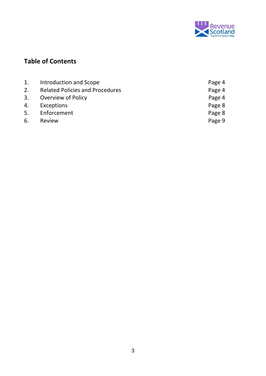

# **Table of Contents**

| Introduction and Scope                 | Page 4 |
|----------------------------------------|--------|
| <b>Related Policies and Procedures</b> | Page 4 |
| Overview of Policy                     | Page 4 |
| Exceptions                             | Page 8 |
| Enforcement                            | Page 8 |
| Review                                 | Page 9 |
|                                        |        |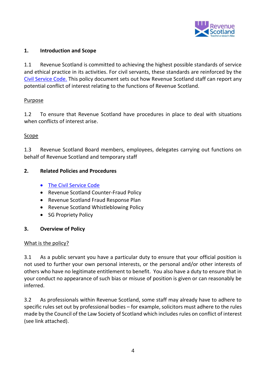

#### **1. Introduction and Scope**

1.1 Revenue Scotland is committed to achieving the highest possible standards of service and ethical practice in its activities. For civil servants, these standards are reinforced by the [Civil Service Code.](https://www.gov.uk/government/publications/civil-service-code/the-civil-service-code) This policy document sets out how Revenue Scotland staff can report any potential conflict of interest relating to the functions of Revenue Scotland.

#### Purpose

1.2 To ensure that Revenue Scotland have procedures in place to deal with situations when conflicts of interest arise.

#### Scope

1.3 Revenue Scotland Board members, employees, delegates carrying out functions on behalf of Revenue Scotland and temporary staff

#### **2. Related Policies and Procedures**

- [The Civil Service Code](https://www.gov.uk/government/publications/civil-service-code/the-civil-service-code)
- Revenue Scotland Counter-Fraud Policy
- Revenue Scotland Fraud Response Plan
- Revenue Scotland Whistleblowing Policy
- SG Propriety Policy

#### **3. Overview of Policy**

#### What is the policy?

3.1 As a public servant you have a particular duty to ensure that your official position is not used to further your own personal interests, or the personal and/or other interests of others who have no legitimate entitlement to benefit. You also have a duty to ensure that in your conduct no appearance of such bias or misuse of position is given or can reasonably be inferred.

3.2 As professionals within Revenue Scotland, some staff may already have to adhere to specific rules set out by professional bodies – for example, solicitors must adhere to the rules made by the Council of the Law Society of Scotland which includes rules on conflict of interest (see link attached).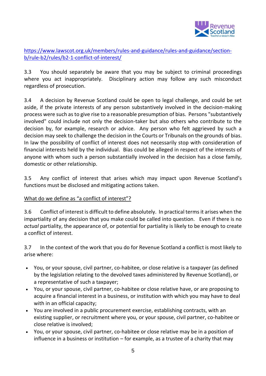

[https://www.lawscot.org.uk/members/rules-and-guidance/rules-and-guidance/section](https://www.lawscot.org.uk/members/rules-and-guidance/rules-and-guidance/section-b/rule-b2/rules/b2-1-conflict-of-interest/)[b/rule-b2/rules/b2-1-conflict-of-interest/](https://www.lawscot.org.uk/members/rules-and-guidance/rules-and-guidance/section-b/rule-b2/rules/b2-1-conflict-of-interest/)

3.3 You should separately be aware that you may be subject to criminal proceedings where you act inappropriately. Disciplinary action may follow any such misconduct regardless of prosecution.

3.4 A decision by Revenue Scotland could be open to legal challenge, and could be set aside, if the private interests of any person substantively involved in the decision-making process were such as to give rise to a reasonable presumption of bias. Persons "substantively involved" could include not only the decision-taker but also others who contribute to the decision by, for example, research or advice. Any person who felt aggrieved by such a decision may seek to challenge the decision in the Courts or Tribunals on the grounds of bias. In law the possibility of conflict of interest does not necessarily stop with consideration of financial interests held by the individual. Bias could be alleged in respect of the interests of anyone with whom such a person substantially involved in the decision has a close family, domestic or other relationship.

3.5 Any conflict of interest that arises which may impact upon Revenue Scotland's functions must be disclosed and mitigating actions taken.

### What do we define as "a conflict of interest"?

3.6 Conflict of interest is difficult to define absolutely. In practical terms it arises when the impartiality of any decision that you make could be called into question. Even if there is no *actual* partiality, the appearance of, or potential for partiality is likely to be enough to create a conflict of interest.

3.7 In the context of the work that you do for Revenue Scotland a conflict is most likely to arise where:

- You, or your spouse, civil partner, co-habitee, or close relative is a taxpayer (as defined by the legislation relating to the devolved taxes administered by Revenue Scotland), or a representative of such a taxpayer;
- You, or your spouse, civil partner, co-habitee or close relative have, or are proposing to acquire a financial interest in a business, or institution with which you may have to deal with in an official capacity;
- You are involved in a public procurement exercise, establishing contracts, with an existing supplier, or recruitment where you, or your spouse, civil partner, co-habitee or close relative is involved;
- You, or your spouse, civil partner, co-habitee or close relative may be in a position of influence in a business or institution – for example, as a trustee of a charity that may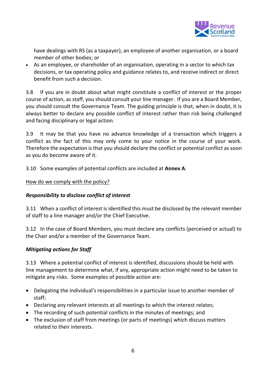

have dealings with RS (as a taxpayer), an employee of another organisation, or a board member of other bodies; or

 As an employee, or shareholder of an organisation, operating in a sector to which tax decisions, or tax operating policy and guidance relates to, and receive indirect or direct benefit from such a decision.

3.8 If you are in doubt about what might constitute a conflict of interest or the proper course of action, as staff, you should consult your line manager. If you are a Board Member, you should consult the Governance Team. The guiding principle is that, when in doubt, it is always better to declare any possible conflict of interest rather than risk being challenged and facing disciplinary or legal action.

3.9 It may be that you have no advance knowledge of a transaction which triggers a conflict as the fact of this may only come to your notice in the course of your work. Therefore the expectation is that you should declare the conflict or potential conflict as soon as you do become aware of it.

3.10 Some examples of potential conflicts are included at **Annex A**.

# How do we comply with the policy?

# *Responsibility to disclose conflict of interest*

3.11 When a conflict of interest is identified this must be disclosed by the relevant member of staff to a line manager and/or the Chief Executive.

3.12 In the case of Board Members, you must declare any conflicts (perceived or actual) to the Chair and/or a member of the Governance Team.

### *Mitigating actions for Staff*

3.13 Where a potential conflict of interest is identified, discussions should be held with line management to determine what, if any, appropriate action might need to be taken to mitigate any risks. Some examples of possible action are:

- Delegating the individual's responsibilities in a particular issue to another member of staff;
- Declaring any relevant interests at all meetings to which the interest relates;
- The recording of such potential conflicts in the minutes of meetings; and
- The exclusion of staff from meetings (or parts of meetings) which discuss matters related to their interests.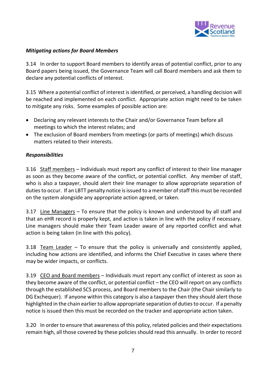

# *Mitigating actions for Board Members*

3.14 In order to support Board members to identify areas of potential conflict, prior to any Board papers being issued, the Governance Team will call Board members and ask them to declare any potential conflicts of interest.

3.15 Where a potential conflict of interest is identified, or perceived, a handling decision will be reached and implemented on each conflict. Appropriate action might need to be taken to mitigate any risks. Some examples of possible action are:

- Declaring any relevant interests to the Chair and/or Governance Team before all meetings to which the interest relates; and
- The exclusion of Board members from meetings (or parts of meetings) which discuss matters related to their interests.

### *Responsibilities*

3.16 Staff members – Individuals must report any conflict of interest to their line manager as soon as they become aware of the conflict, or potential conflict. Any member of staff, who is also a taxpayer, should alert their line manager to allow appropriate separation of duties to occur. If an LBTT penalty notice is issued to a member of staff this must be recorded on the system alongside any appropriate action agreed, or taken.

3.17 Line Managers – To ensure that the policy is known and understood by all staff and that an eHR record is properly kept, and action is taken in line with the policy if necessary. Line managers should make their Team Leader aware of any reported conflict and what action is being taken (in line with this policy).

3.18 Team Leader – To ensure that the policy is universally and consistently applied, including how actions are identified, and informs the Chief Executive in cases where there may be wider impacts, or conflicts.

3.19 CEO and Board members – Individuals must report any conflict of interest as soon as they become aware of the conflict, or potential conflict – the CEO will report on any conflicts through the established SCS process, and Board members to the Chair (the Chair similarly to DG Exchequer). If anyone within this category is also a taxpayer then they should alert those highlighted in the chain earlier to allow appropriate separation of duties to occur. If a penalty notice is issued then this must be recorded on the tracker and appropriate action taken.

3.20 In order to ensure that awareness of this policy, related policies and their expectations remain high, all those covered by these policies should read this annually. In order to record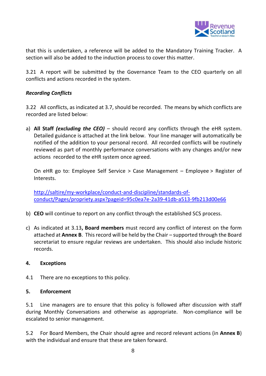

that this is undertaken, a reference will be added to the Mandatory Training Tracker. A section will also be added to the induction process to cover this matter.

3.21 A report will be submitted by the Governance Team to the CEO quarterly on all conflicts and actions recorded in the system.

# *Recording Conflicts*

3.22 All conflicts, as indicated at 3.7, should be recorded. The means by which conflicts are recorded are listed below:

a) **All Staff** *(excluding the CEO)* – should record any conflicts through the eHR system. Detailed guidance is attached at the link below. Your line manager will automatically be notified of the addition to your personal record. All recorded conflicts will be routinely reviewed as part of monthly performance conversations with any changes and/or new actions recorded to the eHR system once agreed.

On eHR go to: Employee Self Service > Case Management – Employee > Register of Interests.

[http://saltire/my-workplace/conduct-and-discipline/standards-of](http://saltire/my-workplace/conduct-and-discipline/standards-of-conduct/Pages/propriety.aspx?pageid=95c0ea7e-2a39-41db-a513-9fb213d00e66)[conduct/Pages/propriety.aspx?pageid=95c0ea7e-2a39-41db-a513-9fb213d00e66](http://saltire/my-workplace/conduct-and-discipline/standards-of-conduct/Pages/propriety.aspx?pageid=95c0ea7e-2a39-41db-a513-9fb213d00e66)

- b) **CEO** will continue to report on any conflict through the established SCS process.
- c) As indicated at 3.13**, Board members** must record any conflict of interest on the form attached at **Annex B**. This record will be held by the Chair – supported through the Board secretariat to ensure regular reviews are undertaken. This should also include historic records.

### **4. Exceptions**

4.1 There are no exceptions to this policy.

### **5. Enforcement**

5.1 Line managers are to ensure that this policy is followed after discussion with staff during Monthly Conversations and otherwise as appropriate. Non-compliance will be escalated to senior management.

5.2 For Board Members, the Chair should agree and record relevant actions (in **Annex B**) with the individual and ensure that these are taken forward.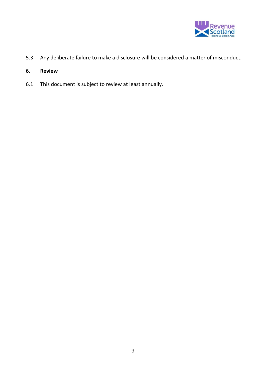

- 5.3 Any deliberate failure to make a disclosure will be considered a matter of misconduct.
- **6. Review**
- 6.1 This document is subject to review at least annually.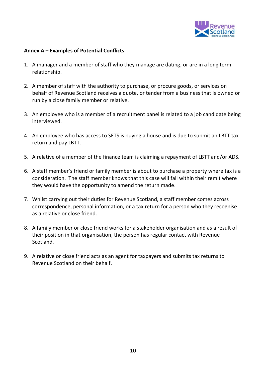

#### **Annex A – Examples of Potential Conflicts**

- 1. A manager and a member of staff who they manage are dating, or are in a long term relationship.
- 2. A member of staff with the authority to purchase, or procure goods, or services on behalf of Revenue Scotland receives a quote, or tender from a business that is owned or run by a close family member or relative.
- 3. An employee who is a member of a recruitment panel is related to a job candidate being interviewed.
- 4. An employee who has access to SETS is buying a house and is due to submit an LBTT tax return and pay LBTT.
- 5. A relative of a member of the finance team is claiming a repayment of LBTT and/or ADS.
- 6. A staff member's friend or family member is about to purchase a property where tax is a consideration. The staff member knows that this case will fall within their remit where they would have the opportunity to amend the return made.
- 7. Whilst carrying out their duties for Revenue Scotland, a staff member comes across correspondence, personal information, or a tax return for a person who they recognise as a relative or close friend.
- 8. A family member or close friend works for a stakeholder organisation and as a result of their position in that organisation, the person has regular contact with Revenue Scotland.
- 9. A relative or close friend acts as an agent for taxpayers and submits tax returns to Revenue Scotland on their behalf.